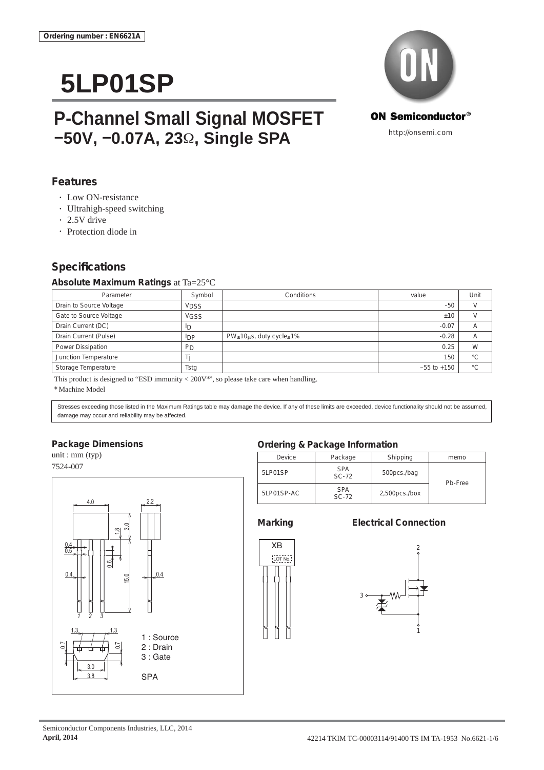# **5LP01SP**

## **P-Channel Small Signal MOSFET –50V, –0.07A, 23**Ω**, Single SPA**



### **Features**

- Low ON-resistance
- Ultrahigh-speed switching
- 2.5V drive
- Protection diode in

### **Specifi cations**

### **Absolute Maximum Ratings** at Ta=25°C

| Parameter               | Symbol         | Conditions                                 | value           | Unit    |
|-------------------------|----------------|--------------------------------------------|-----------------|---------|
| Drain to Source Voltage | <b>VDSS</b>    |                                            | $-50$           |         |
| Gate to Source Voltage  | <b>VGSS</b>    |                                            | ±10             |         |
| Drain Current (DC)      | <sup>I</sup> D |                                            | $-0.07$         |         |
| Drain Current (Pulse)   | $_{\text{DP}}$ | $PW \leq 10 \mu s$ , duty cycle $\leq 1\%$ | $-0.28$         |         |
| Power Dissipation       | P <sub>D</sub> |                                            | 0.25            | W       |
| Junction Temperature    |                |                                            | 150             | °С      |
| Storage Temperature     | Tsta           |                                            | $-55$ to $+150$ | $\circ$ |

This product is designed to "ESD immunity  $<$  200V\*", so please take care when handling.

\* Machine Model

Stresses exceeding those listed in the Maximum Ratings table may damage the device. If any of these limits are exceeded, device functionality should not be assumed, damage may occur and reliability may be affected.

### **Package Dimensions**

unit : mm (typ) 7524-007



### **Ordering & Package Information**

| Device     | Package               | Shipping         | memo    |
|------------|-----------------------|------------------|---------|
| 5LP01SP    | <b>SPA</b><br>$SC-72$ | 500pcs./bag      | Pb-Free |
| 5LP01SP-AC | <b>SPA</b><br>$SC-72$ | $2,500$ pcs./box |         |

3

### **Marking Electrical Connection**





1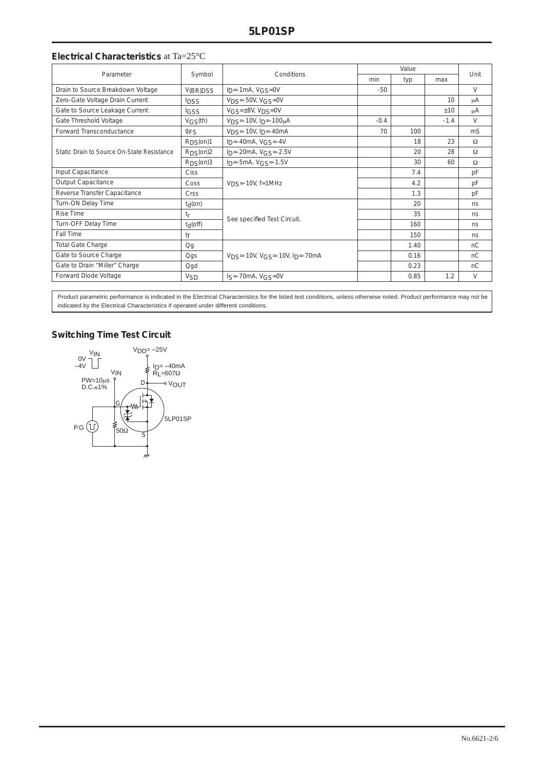### **Electrical Characteristics** at Ta=25°C

| Parameter                                  | Symbol                   | Conditions                                          | Value  |      |        | Unit     |
|--------------------------------------------|--------------------------|-----------------------------------------------------|--------|------|--------|----------|
|                                            |                          |                                                     | min    | typ  | max    |          |
| Drain to Source Breakdown Voltage          | V(BR)DSS                 | $I_D = -1mA$ , $VGS = 0V$                           | $-50$  |      |        | $\vee$   |
| Zero-Gate Voltage Drain Current            | <b>IDSS</b>              | $VDS = -50V$ , $VGS = 0V$                           |        |      | 10     | μA       |
| Gate to Source Leakage Current             | <b>IGSS</b>              | $VGS = \pm 8V$ , $VDS = 0V$                         |        |      | ±10    | μA       |
| Gate Threshold Voltage                     | $V$ <sub>GS</sub> $(th)$ | $V_{DS} = -10V$ , $I_{D} = -100\mu A$               | $-0.4$ |      | $-1.4$ | $\vee$   |
| Forward Transconductance                   | 9FS                      | $VDS = -10V$ , $Ip = -40mA$                         | 70     | 100  |        | mS       |
| Static Drain to Source On-State Resistance | RDS(0n)1                 | $I_D = -40mA$ , $VGS = -4V$                         |        | 18   | 23     | Ω        |
|                                            | RDS(0n)2                 | $I_D = -20mA, V_{GS} = -2.5V$                       |        | 20   | 28     | $\Omega$ |
|                                            | RDS(0n)3                 | $I_D = -5mA, VGS = -1.5V$                           |        | 30   | 60     | $\Omega$ |
| Input Capacitance                          | Ciss                     | $VDS = -10V$ , $f = 1MHz$                           |        | 7.4  |        | pF       |
| Output Capacitance                         | Coss                     |                                                     |        | 4.2  |        | pF       |
| Reverse Transfer Capacitance               | Crss                     |                                                     |        | 1.3  |        | pF       |
| Turn-ON Delay Time                         | t <sub>d</sub> (on)      | See specified Test Circuit.                         |        | 20   |        | ns       |
| <b>Rise Time</b>                           | tr                       |                                                     |        | 35   |        | ns       |
| Turn-OFF Delay Time                        | $t_d$ (off)              |                                                     |        | 160  |        | ns       |
| Fall Time                                  | tf                       |                                                     |        | 150  |        | ns       |
| <b>Total Gate Charge</b>                   | Qg                       | $V_{DS} = -10V$ , $V_{GS} = -10V$ , $I_{D} = -70mA$ |        | 1.40 |        | nC       |
| Gate to Source Charge                      | Qgs                      |                                                     |        | 0.16 |        | nC       |
| Gate to Drain "Miller" Charge              | Qgd                      |                                                     |        | 0.23 |        | nC       |
| Forward Diode Voltage                      | <b>V<sub>SD</sub></b>    | $Is = -70mA, VGS = 0V$                              |        | 0.85 | 1.2    | V        |

Product parametric performance is indicated in the Electrical Characteristics for the listed test conditions, unless otherwise noted. Product performance may not be indicated by the Electrical Characteristics if operated under different conditions.

### **Switching Time Test Circuit**

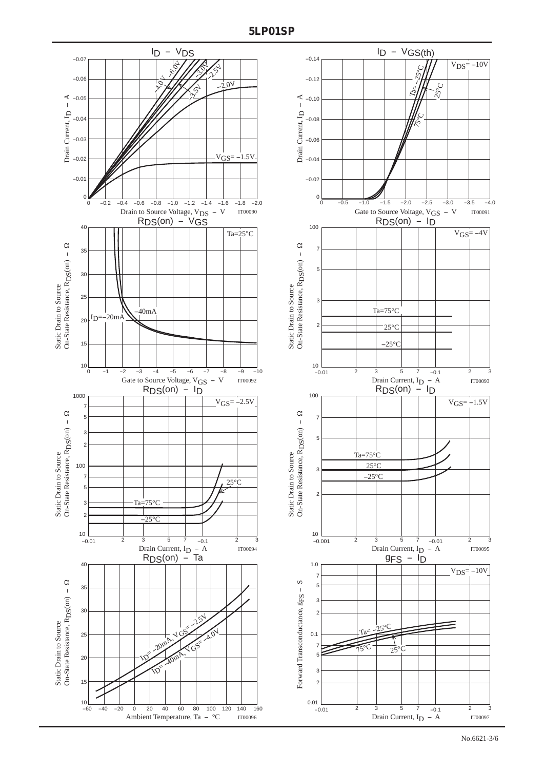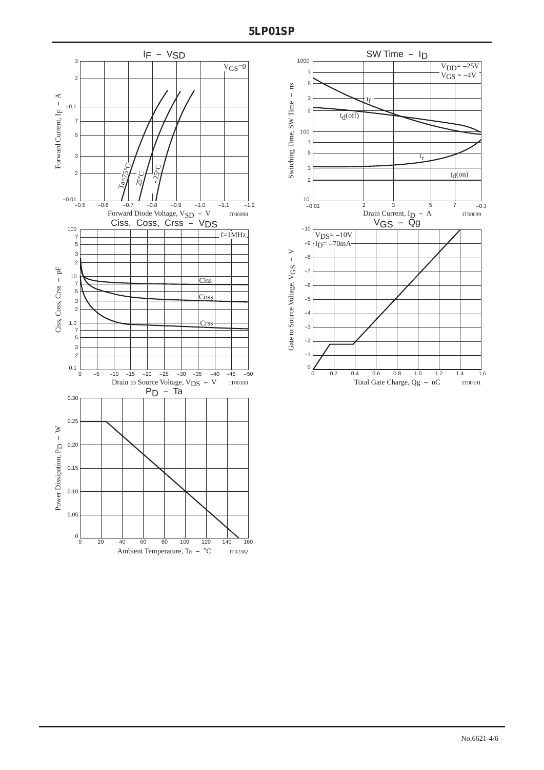

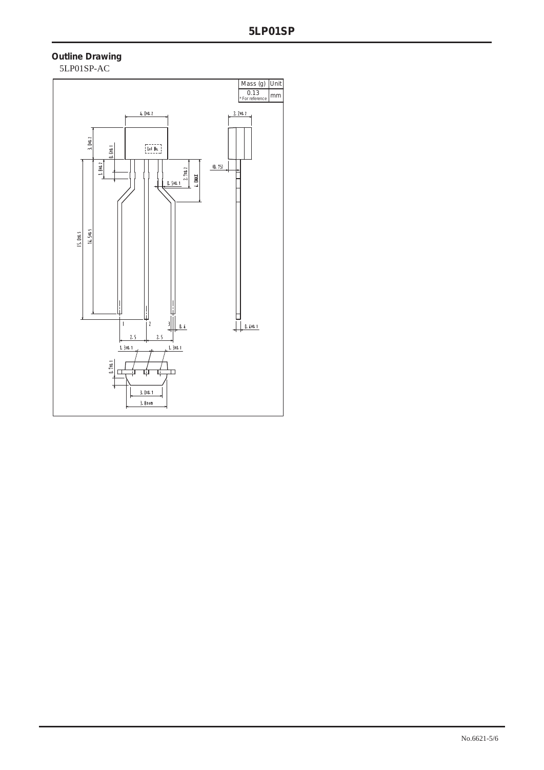### **Outline Drawing** 5LP01SP-AC